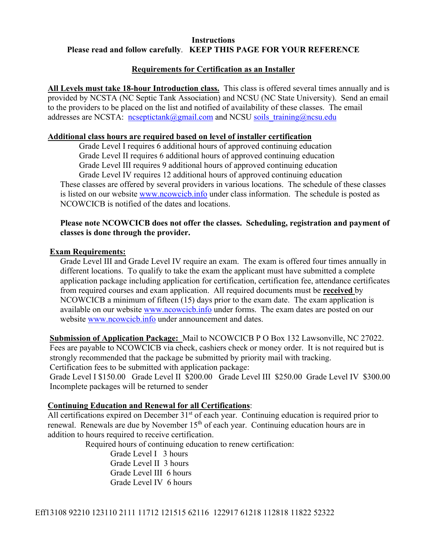## **Instructions Please read and follow carefully**. **KEEP THIS PAGE FOR YOUR REFERENCE**

# **Requirements for Certification as an Installer**

**All Levels must take 18-hour Introduction class.** This class is offered several times annually and is provided by NCSTA (NC Septic Tank Association) and NCSU (NC State University). Send an email to the providers to be placed on the list and notified of availability of these classes. The email addresses are NCSTA: ncseptictank@gmail.com and NCSU soils training@ncsu.edu

## **Additional class hours are required based on level of installer certification**

 Grade Level I requires 6 additional hours of approved continuing education Grade Level II requires 6 additional hours of approved continuing education Grade Level III requires 9 additional hours of approved continuing education

 Grade Level IV requires 12 additional hours of approved continuing education These classes are offered by several providers in various locations. The schedule of these classes is listed on our website www.ncowcicb.info under class information. The schedule is posted as NCOWCICB is notified of the dates and locations.

## **Please note NCOWCICB does not offer the classes. Scheduling, registration and payment of classes is done through the provider.**

## **Exam Requirements:**

Grade Level III and Grade Level IV require an exam. The exam is offered four times annually in different locations. To qualify to take the exam the applicant must have submitted a complete application package including application for certification, certification fee, attendance certificates from required courses and exam application. All required documents must be **received** by NCOWCICB a minimum of fifteen (15) days prior to the exam date. The exam application is available on our website www.ncowcicb.info under forms. The exam dates are posted on our website www.ncowcicb.info under announcement and dates.

**Submission of Application Package:** Mail to NCOWCICB P O Box 132 Lawsonville, NC 27022. Fees are payable to NCOWCICB via check, cashiers check or money order. It is not required but is strongly recommended that the package be submitted by priority mail with tracking. Certification fees to be submitted with application package:

Grade Level I \$150.00 Grade Level II \$200.00 Grade Level III \$250.00 Grade Level IV \$300.00 Incomplete packages will be returned to sender

## **Continuing Education and Renewal for all Certifications**:

All certifications expired on December 31<sup>st</sup> of each year. Continuing education is required prior to renewal. Renewals are due by November  $15<sup>th</sup>$  of each year. Continuing education hours are in addition to hours required to receive certification.

Required hours of continuing education to renew certification:

 Grade Level I 3 hours Grade Level II 3 hours Grade Level III 6 hours Grade Level IV 6 hours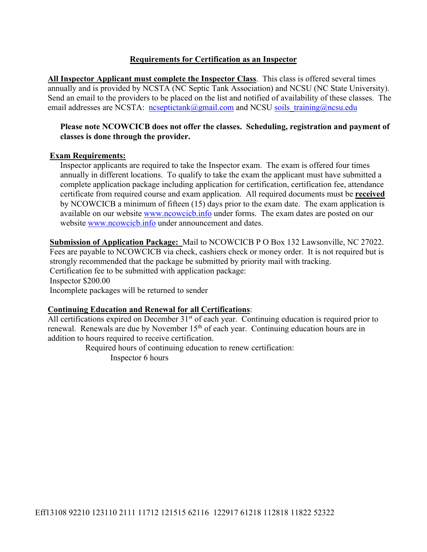# **Requirements for Certification as an Inspector**

**All Inspector Applicant must complete the Inspector Class**. This class is offered several times annually and is provided by NCSTA (NC Septic Tank Association) and NCSU (NC State University). Send an email to the providers to be placed on the list and notified of availability of these classes. The email addresses are NCSTA: ncseptictank@gmail.com and NCSU soils training@ncsu.edu

## **Please note NCOWCICB does not offer the classes. Scheduling, registration and payment of classes is done through the provider.**

## **Exam Requirements:**

Inspector applicants are required to take the Inspector exam. The exam is offered four times annually in different locations. To qualify to take the exam the applicant must have submitted a complete application package including application for certification, certification fee, attendance certificate from required course and exam application. All required documents must be **received**  by NCOWCICB a minimum of fifteen (15) days prior to the exam date. The exam application is available on our website www.ncowcicb.info under forms. The exam dates are posted on our website www.ncowcicb.info under announcement and dates.

**Submission of Application Package:** Mail to NCOWCICB P O Box 132 Lawsonville, NC 27022. Fees are payable to NCOWCICB via check, cashiers check or money order. It is not required but is strongly recommended that the package be submitted by priority mail with tracking. Certification fee to be submitted with application package: Inspector \$200.00 Incomplete packages will be returned to sender

## **Continuing Education and Renewal for all Certifications**:

All certifications expired on December 31<sup>st</sup> of each year. Continuing education is required prior to renewal. Renewals are due by November  $15<sup>th</sup>$  of each year. Continuing education hours are in addition to hours required to receive certification.

> Required hours of continuing education to renew certification: Inspector 6 hours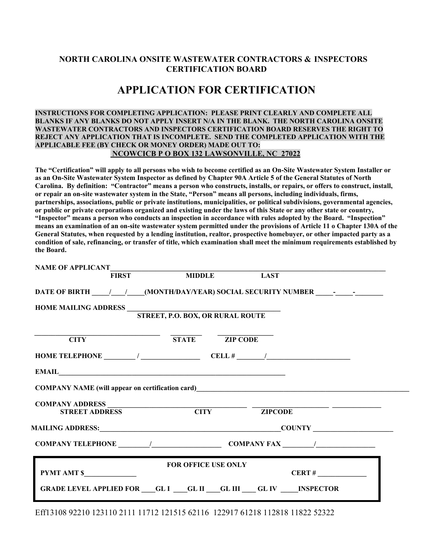## **NORTH CAROLINA ONSITE WASTEWATER CONTRACTORS & INSPECTORS CERTIFICATION BOARD**

# **APPLICATION FOR CERTIFICATION**

**INSTRUCTIONS FOR COMPLETING APPLICATION: PLEASE PRINT CLEARLY AND COMPLETE ALL BLANKS IF ANY BLANKS DO NOT APPLY INSERT N/A IN THE BLANK. THE NORTH CAROLINA ONSITE WASTEWATER CONTRACTORS AND INSPECTORS CERTIFICATION BOARD RESERVES THE RIGHT TO REJECT ANY APPLICATION THAT IS INCOMPLETE. SEND THE COMPLETED APPLICATION WITH THE APPLICABLE FEE (BY CHECK OR MONEY ORDER) MADE OUT TO: NCOWCICB P O BOX 132 LAWSONVILLE, NC 27022** 

**The "Certification" will apply to all persons who wish to become certified as an On-Site Wastewater System Installer or as an On-Site Wastewater System Inspector as defined by Chapter 90A Article 5 of the General Statutes of North Carolina. By definition: "Contractor" means a person who constructs, installs, or repairs, or offers to construct, install, or repair an on-site wastewater system in the State, "Person" means all persons, including individuals, firms, partnerships, associations, public or private institutions, municipalities, or political subdivisions, governmental agencies, or public or private corporations organized and existing under the laws of this State or any other state or country, "Inspector" means a person who conducts an inspection in accordance with rules adopted by the Board. "Inspection" means an examination of an on-site wastewater system permitted under the provisions of Article 11 o Chapter 130A of the General Statutes, when requested by a lending institution, realtor, prospective homebuyer, or other impacted party as a condition of sale, refinancing, or transfer of title, which examination shall meet the minimum requirements established by the Board.** 

| HOME MAILING ADDRESS STREET, P.O. BOX, OR RURAL ROUTE  |                                                                                                             |
|--------------------------------------------------------|-------------------------------------------------------------------------------------------------------------|
|                                                        |                                                                                                             |
| $\overline{\text{STATE}}$ $\overline{\text{ZIP CODE}}$ |                                                                                                             |
|                                                        | HOME TELEPHONE $\sqrt{$ CELL # $\sqrt{}$                                                                    |
|                                                        |                                                                                                             |
|                                                        | COMPANY NAME (will appear on certification card)<br><u>COMPANY NAME</u> (will appear on certification card) |
|                                                        | COMPANY ADDRESS STREET ADDRESS CITY TIPCODE                                                                 |
|                                                        |                                                                                                             |
|                                                        |                                                                                                             |
|                                                        | COMPANY TELEPHONE $\sqrt{2}$ COMPANY FAX $\sqrt{2}$                                                         |
|                                                        |                                                                                                             |
|                                                        |                                                                                                             |

Eff13108 92210 123110 2111 11712 121515 62116 122917 61218 112818 11822 52322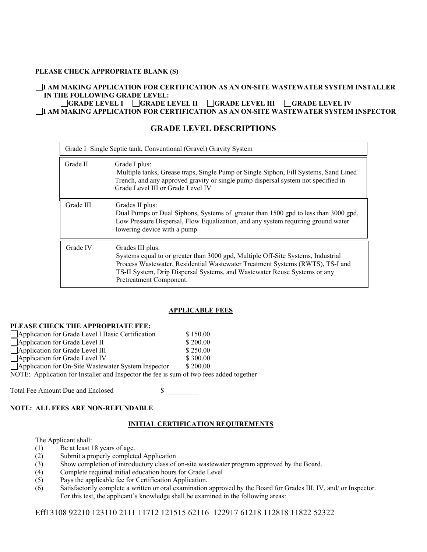#### **PLEASE CHECK APPROPRIATE BLANK (S)**

#### **I AM MAKING APPLICATION FOR CERTIFICATION AS AN ON-SITE WASTEWATER SYSTEM INSTALLER IN THE FOLLOWING GRADE LEVEL:**

**GRADE LEVEL I GRADE LEVEL II GRADE LEVEL III GRADE LEVEL IV I AM MAKING APPLICATION FOR CERTIFICATION AS AN ON-SITE WASTEWATER SYSTEM INSPECTOR** 

## **GRADE LEVEL DESCRIPTIONS**

| Grade I Single Septic tank, Conventional (Gravel) Gravity System |                                                                                                                                                                                                                                                                                               |  |  |  |
|------------------------------------------------------------------|-----------------------------------------------------------------------------------------------------------------------------------------------------------------------------------------------------------------------------------------------------------------------------------------------|--|--|--|
| Grade II                                                         | Grade I plus:<br>Multiple tanks, Grease traps, Single Pump or Single Siphon, Fill Systems, Sand Lined<br>Trench, and any approved gravity or single pump dispersal system not specified in<br>Grade Level III or Grade Level IV                                                               |  |  |  |
| Grade III                                                        | Grades II plus:<br>Dual Pumps or Dual Siphons, Systems of greater than 1500 gpd to less than 3000 gpd,<br>Low Pressure Dispersal, Flow Equalization, and any system requiring ground water<br>lowering device with a pump                                                                     |  |  |  |
| Grade IV                                                         | Grades III plus:<br>Systems equal to or greater than 3000 gpd, Multiple Off-Site Systems, Industrial<br>Process Wastewater, Residential Wastewater Treatment Systems (RWTS), TS-I and<br>TS-II System, Drip Dispersal Systems, and Wastewater Reuse Systems or any<br>Pretreatment Component. |  |  |  |

## **APPLICABLE FEES**

## **PLEASE CHECK THE APPROPRIATE FEE:**

| Application for Grade Level I Basic Certification                                       | \$150.00 |
|-----------------------------------------------------------------------------------------|----------|
| $\Box$ Application for Grade Level II                                                   | \$200.00 |
| Application for Grade Level III                                                         | \$250.00 |
| Application for Grade Level IV                                                          | \$300.00 |
| Application for On-Site Wastewater System Inspector                                     | \$200.00 |
| NOTE: Application for Installer and Inspector the fee is sum of two fees added together |          |

Total Fee Amount Due and Enclosed \$

#### **NOTE: ALL FEES ARE NON-REFUNDABLE**

#### **INITIAL CERTIFICATION REQUIREMENTS**

The Applicant shall:

- (1) Be at least 18 years of age.
- (2) Submit a properly completed Application
- (3) Show completion of introductory class of on-site wastewater program approved by the Board.
- (4) Complete required initial education hours for Grade Level
- (5) Pays the applicable fee for Certification Application.
- (6) Satisfactorily complete a written or oral examination approved by the Board for Grades III, IV, and/ or Inspector. For this test, the applicant's knowledge shall be examined in the following areas:

Eff13108 92210 123110 2111 11712 121515 62116 122917 61218 112818 11822 52322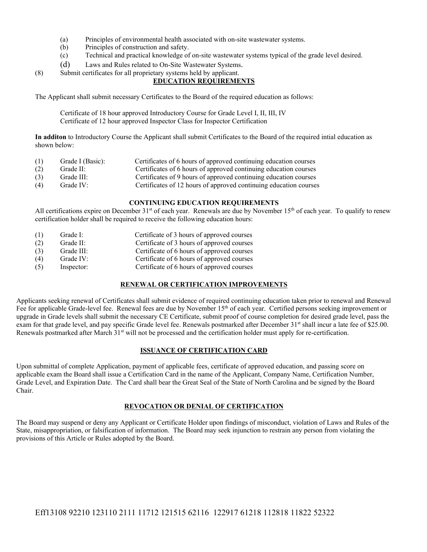- (a) Principles of environmental health associated with on-site wastewater systems.
- (b) Principles of construction and safety.
- (c) Technical and practical knowledge of on-site wastewater systems typical of the grade level desired.
- 
- (d) Laws and Rules related to On-Site Wastewater Systems.<br>
(8) Submit certificates for all proprietary systems held by applicant.

## **EDUCATION REQUIREMENTS**

The Applicant shall submit necessary Certificates to the Board of the required education as follows:

 Certificate of 18 hour approved Introductory Course for Grade Level I, II, III, IV Certificate of 12 hour approved Inspector Class for Inspector Certification

**In additon** to Introductory Course the Applicant shall submit Certificates to the Board of the required intial education as shown below:

| (1) | Grade I (Basic):                               | Certificates of 6 hours of approved continuing education courses  |
|-----|------------------------------------------------|-------------------------------------------------------------------|
| (2) | Grade $II$ :                                   | Certificates of 6 hours of approved continuing education courses  |
| (3) | Grade III:                                     | Certificates of 9 hours of approved continuing education courses  |
| (1) | $C_{\text{max}}$ $\lambda$ $\Lambda$ $\Lambda$ | Contificates of 12 hours of engagered continuing advertise course |

(4) Grade IV: Certificates of 12 hours of approved continuing education courses

#### **CONTINUING EDUCATION REQUIREMENTS**

All certifications expire on December 31<sup>st</sup> of each year. Renewals are due by November 15<sup>th</sup> of each year. To qualify to renew certification holder shall be required to receive the following education hours:

(1) Grade I: Certificate of 3 hours of approved courses (2) Grade II: Certificate of 3 hours of approved courses (3) Grade III: Certificate of 6 hours of approved courses (4) Grade IV: Certificate of 6 hours of approved courses (5) Inspector: Certificate of 6 hours of approved courses

#### **RENEWAL OR CERTIFICATION IMPROVEMENTS**

Applicants seeking renewal of Certificates shall submit evidence of required continuing education taken prior to renewal and Renewal Fee for applicable Grade-level fee. Renewal fees are due by November  $15<sup>th</sup>$  of each year. Certified persons seeking improvement or upgrade in Grade levels shall submit the necessary CE Certificate, submit proof of course completion for desired grade level, pass the exam for that grade level, and pay specific Grade level fee. Renewals postmarked after December 31<sup>st</sup> shall incur a late fee of \$25.00. Renewals postmarked after March 31<sup>st</sup> will not be processed and the certification holder must apply for re-certification.

#### **ISSUANCE OF CERTIFICATION CARD**

Upon submittal of complete Application, payment of applicable fees, certificate of approved education, and passing score on applicable exam the Board shall issue a Certification Card in the name of the Applicant, Company Name, Certification Number, Grade Level, and Expiration Date. The Card shall bear the Great Seal of the State of North Carolina and be signed by the Board Chair.

#### **REVOCATION OR DENIAL OF CERTIFICATION**

The Board may suspend or deny any Applicant or Certificate Holder upon findings of misconduct, violation of Laws and Rules of the State, misappropriation, or falsification of information. The Board may seek injunction to restrain any person from violating the provisions of this Article or Rules adopted by the Board.